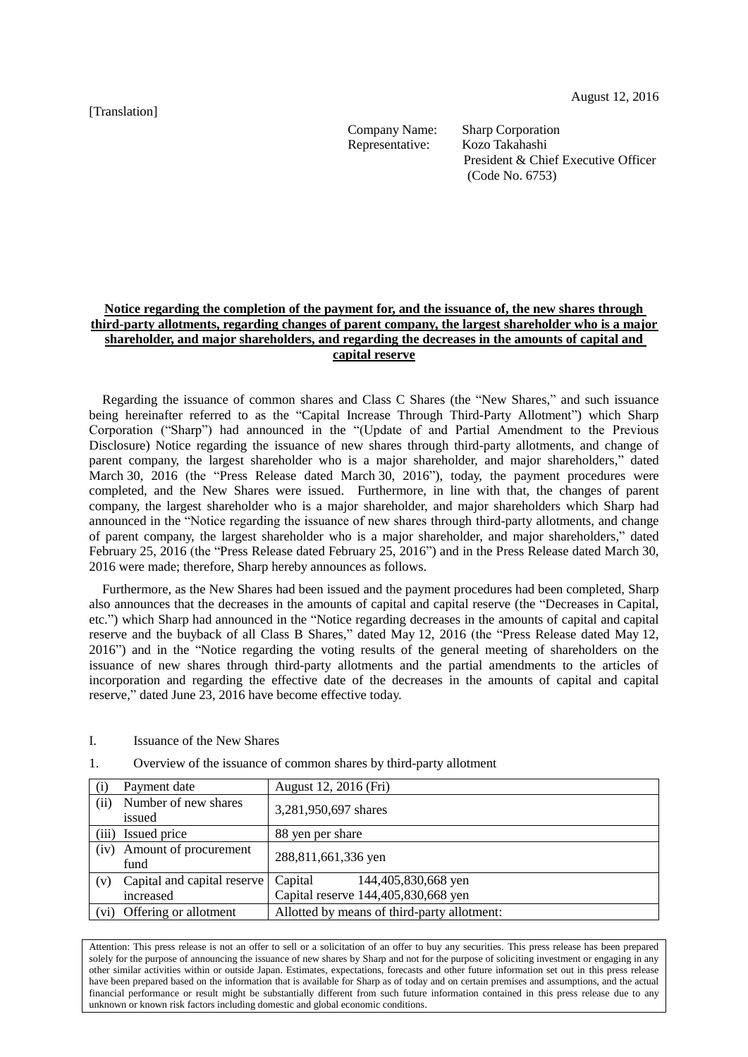[Translation]

Company Name: Sharp Corporation

Representative: Kozo Takahashi President & Chief Executive Officer (Code No. 6753)

# **Notice regarding the completion of the payment for, and the issuance of, the new shares through third-party allotments, regarding changes of parent company, the largest shareholder who is a major shareholder, and major shareholders, and regarding the decreases in the amounts of capital and capital reserve**

Regarding the issuance of common shares and Class C Shares (the "New Shares," and such issuance being hereinafter referred to as the "Capital Increase Through Third-Party Allotment") which Sharp Corporation ("Sharp") had announced in the "(Update of and Partial Amendment to the Previous Disclosure) Notice regarding the issuance of new shares through third-party allotments, and change of parent company, the largest shareholder who is a major shareholder, and major shareholders," dated March 30, 2016 (the "Press Release dated March 30, 2016"), today, the payment procedures were completed, and the New Shares were issued. Furthermore, in line with that, the changes of parent company, the largest shareholder who is a major shareholder, and major shareholders which Sharp had announced in the "Notice regarding the issuance of new shares through third-party allotments, and change of parent company, the largest shareholder who is a major shareholder, and major shareholders," dated February 25, 2016 (the "Press Release dated February 25, 2016") and in the Press Release dated March 30, 2016 were made; therefore, Sharp hereby announces as follows.

Furthermore, as the New Shares had been issued and the payment procedures had been completed, Sharp also announces that the decreases in the amounts of capital and capital reserve (the "Decreases in Capital, etc.") which Sharp had announced in the "Notice regarding decreases in the amounts of capital and capital reserve and the buyback of all Class B Shares," dated May 12, 2016 (the "Press Release dated May 12, 2016") and in the "Notice regarding the voting results of the general meeting of shareholders on the issuance of new shares through third-party allotments and the partial amendments to the articles of incorporation and regarding the effective date of the decreases in the amounts of capital and capital reserve," dated June 23, 2016 have become effective today.

I. Issuance of the New Shares

| (i)  | Payment date                   | August 12, 2016 (Fri)                       |
|------|--------------------------------|---------------------------------------------|
| (ii) | Number of new shares<br>issued | 3,281,950,697 shares                        |
|      | (iii) Issued price             | 88 yen per share                            |
| (iv) | Amount of procurement<br>fund  | 288,811,661,336 yen                         |
| (v)  | Capital and capital reserve    | Capital<br>144,405,830,668 yen              |
|      | increased                      | Capital reserve 144,405,830,668 yen         |
|      | (vi) Offering or allotment     | Allotted by means of third-party allotment: |

1. Overview of the issuance of common shares by third-party allotment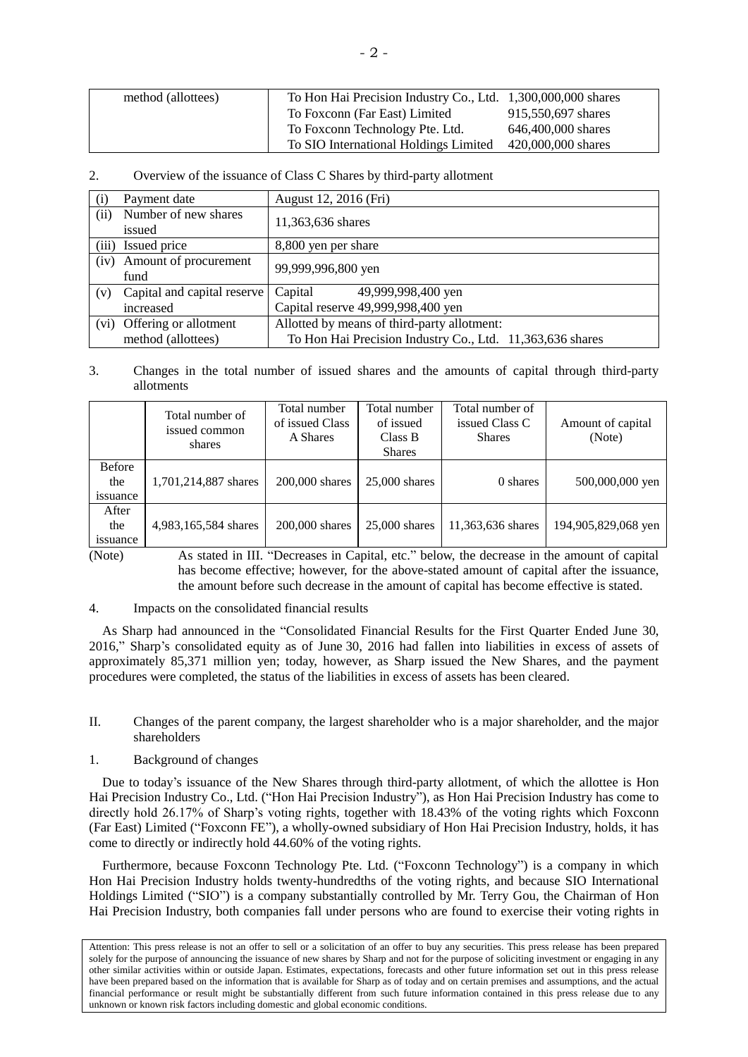| method (allottees) | To Hon Hai Precision Industry Co., Ltd. 1,300,000,000 shares |                    |
|--------------------|--------------------------------------------------------------|--------------------|
|                    | To Foxconn (Far East) Limited                                | 915,550,697 shares |
|                    | To Foxconn Technology Pte. Ltd.                              | 646,400,000 shares |
|                    | To SIO International Holdings Limited                        | 420,000,000 shares |

## 2. Overview of the issuance of Class C Shares by third-party allotment

| (i)   | Payment date                   | August 12, 2016 (Fri)                                     |  |  |
|-------|--------------------------------|-----------------------------------------------------------|--|--|
| (ii)  | Number of new shares<br>issued | 11,363,636 shares                                         |  |  |
| (iii) | Issued price                   | 8,800 yen per share                                       |  |  |
| (iv)  | Amount of procurement<br>fund  | 99,999,996,800 yen                                        |  |  |
| (v)   | Capital and capital reserve    | Capital<br>49,999,998,400 yen                             |  |  |
|       | increased                      | Capital reserve 49,999,998,400 yen                        |  |  |
|       | (vi) Offering or allotment     | Allotted by means of third-party allotment:               |  |  |
|       | method (allottees)             | To Hon Hai Precision Industry Co., Ltd. 11,363,636 shares |  |  |

### 3. Changes in the total number of issued shares and the amounts of capital through third-party allotments

|                                         | Total number of<br>issued common<br>shares | Total number<br>of issued Class<br>A Shares | Total number<br>of issued<br>Class B<br><b>Shares</b> | Total number of<br>issued Class C<br><b>Shares</b> | Amount of capital<br>(Note) |
|-----------------------------------------|--------------------------------------------|---------------------------------------------|-------------------------------------------------------|----------------------------------------------------|-----------------------------|
| <b>Before</b><br>the<br><i>s</i> suance | 1,701,214,887 shares                       | $200.000$ shares                            | $25,000$ shares                                       | 0 shares                                           | 500,000,000 yen             |
| After<br>the<br><i>s</i> suance         | 4,983,165,584 shares                       | 200,000 shares                              | $25,000$ shares                                       | 11,363,636 shares                                  | 194,905,829,068 yen         |

(Note) As stated in III. "Decreases in Capital, etc." below, the decrease in the amount of capital has become effective; however, for the above-stated amount of capital after the issuance, the amount before such decrease in the amount of capital has become effective is stated.

#### 4. Impacts on the consolidated financial results

As Sharp had announced in the "Consolidated Financial Results for the First Quarter Ended June 30, 2016," Sharp's consolidated equity as of June 30, 2016 had fallen into liabilities in excess of assets of approximately 85,371 million yen; today, however, as Sharp issued the New Shares, and the payment procedures were completed, the status of the liabilities in excess of assets has been cleared.

#### II. Changes of the parent company, the largest shareholder who is a major shareholder, and the major shareholders

#### 1. Background of changes

Due to today's issuance of the New Shares through third-party allotment, of which the allottee is Hon Hai Precision Industry Co., Ltd. ("Hon Hai Precision Industry"), as Hon Hai Precision Industry has come to directly hold 26.17% of Sharp's voting rights, together with 18.43% of the voting rights which Foxconn (Far East) Limited ("Foxconn FE"), a wholly-owned subsidiary of Hon Hai Precision Industry, holds, it has come to directly or indirectly hold 44.60% of the voting rights.

Furthermore, because Foxconn Technology Pte. Ltd. ("Foxconn Technology") is a company in which Hon Hai Precision Industry holds twenty-hundredths of the voting rights, and because SIO International Holdings Limited ("SIO") is a company substantially controlled by Mr. Terry Gou, the Chairman of Hon Hai Precision Industry, both companies fall under persons who are found to exercise their voting rights in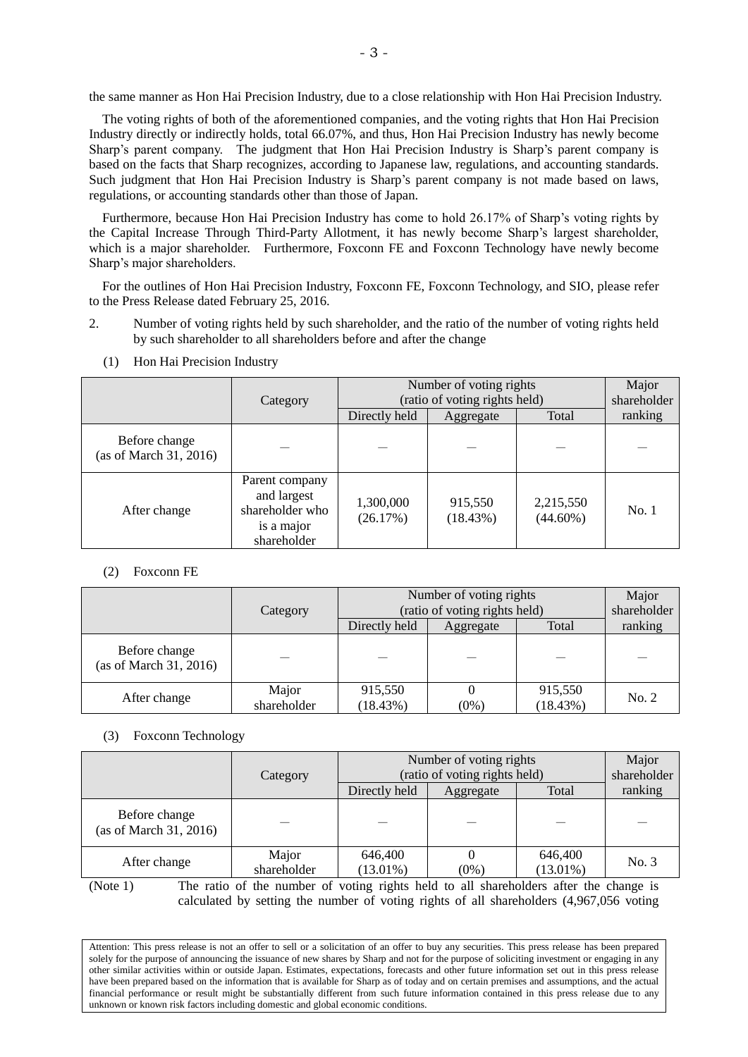the same manner as Hon Hai Precision Industry, due to a close relationship with Hon Hai Precision Industry.

The voting rights of both of the aforementioned companies, and the voting rights that Hon Hai Precision Industry directly or indirectly holds, total 66.07%, and thus, Hon Hai Precision Industry has newly become Sharp's parent company. The judgment that Hon Hai Precision Industry is Sharp's parent company is based on the facts that Sharp recognizes, according to Japanese law, regulations, and accounting standards. Such judgment that Hon Hai Precision Industry is Sharp's parent company is not made based on laws, regulations, or accounting standards other than those of Japan.

Furthermore, because Hon Hai Precision Industry has come to hold 26.17% of Sharp's voting rights by the Capital Increase Through Third-Party Allotment, it has newly become Sharp's largest shareholder, which is a major shareholder. Furthermore, Foxconn FE and Foxconn Technology have newly become Sharp's major shareholders.

For the outlines of Hon Hai Precision Industry, Foxconn FE, Foxconn Technology, and SIO, please refer to the Press Release dated February 25, 2016.

2. Number of voting rights held by such shareholder, and the ratio of the number of voting rights held by such shareholder to all shareholders before and after the change

|                                         | Category                                                                      | Number of voting rights<br>(ratio of voting rights held) |                     |                          | Major<br>shareholder |
|-----------------------------------------|-------------------------------------------------------------------------------|----------------------------------------------------------|---------------------|--------------------------|----------------------|
|                                         |                                                                               | Directly held                                            | Aggregate           | Total                    | ranking              |
| Before change<br>(as of March 31, 2016) |                                                                               |                                                          |                     |                          |                      |
| After change                            | Parent company<br>and largest<br>shareholder who<br>is a major<br>shareholder | 1,300,000<br>(26.17%)                                    | 915,550<br>(18.43%) | 2,215,550<br>$(44.60\%)$ | No.1                 |

(1) Hon Hai Precision Industry

# (2) Foxconn FE

|                                         | Category             | Number of voting rights<br>(ratio of voting rights held) |           |                     | Major<br>shareholder |
|-----------------------------------------|----------------------|----------------------------------------------------------|-----------|---------------------|----------------------|
|                                         |                      |                                                          | Aggregate | Total               | ranking              |
| Before change<br>(as of March 31, 2016) |                      |                                                          |           |                     |                      |
| After change                            | Major<br>shareholder | 915,550<br>(18.43%)                                      | $(0\%$    | 915,550<br>(18.43%) | No. 2                |

#### (3) Foxconn Technology

|                                         | Category             | Number of voting rights<br>(ratio of voting rights held) |           |                        | Major<br>shareholder |
|-----------------------------------------|----------------------|----------------------------------------------------------|-----------|------------------------|----------------------|
|                                         |                      | Directly held                                            | Aggregate | Total                  | ranking              |
| Before change<br>(as of March 31, 2016) |                      |                                                          |           |                        |                      |
| After change                            | Major<br>shareholder | 646,400<br>$(13.01\%)$                                   | $(0\%)$   | 646,400<br>$(13.01\%)$ | No. 3                |

(Note 1) The ratio of the number of voting rights held to all shareholders after the change is calculated by setting the number of voting rights of all shareholders (4,967,056 voting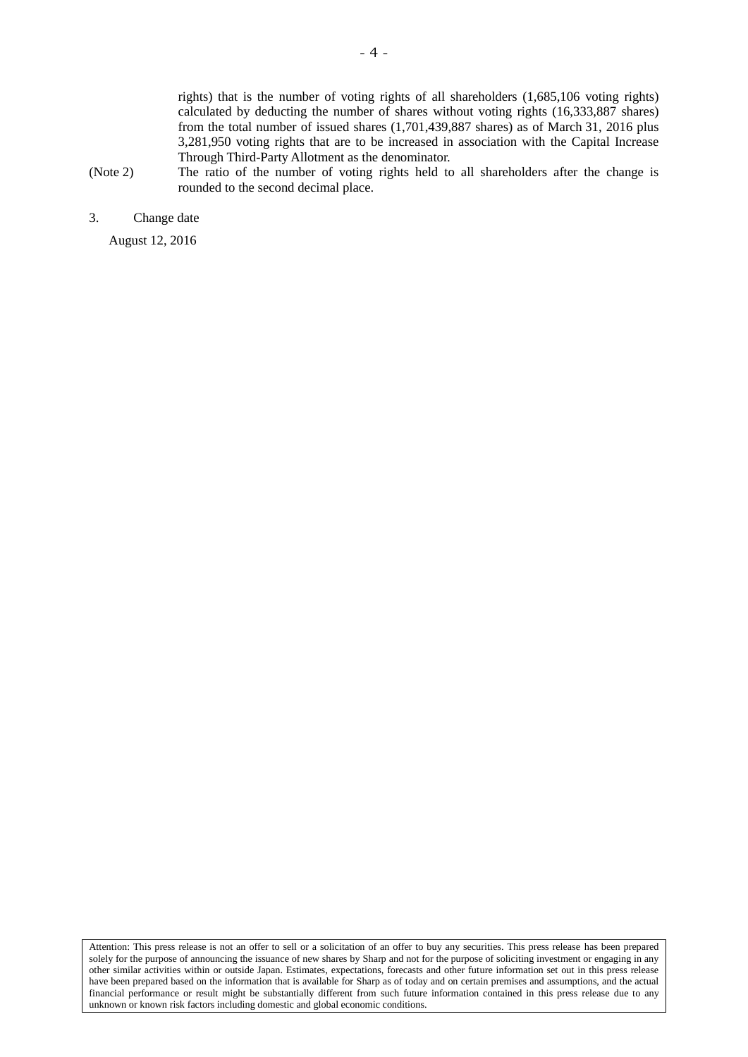rights) that is the number of voting rights of all shareholders (1,685,106 voting rights) calculated by deducting the number of shares without voting rights (16,333,887 shares) from the total number of issued shares (1,701,439,887 shares) as of March 31, 2016 plus 3,281,950 voting rights that are to be increased in association with the Capital Increase Through Third-Party Allotment as the denominator.

- (Note 2) The ratio of the number of voting rights held to all shareholders after the change is rounded to the second decimal place.
- 3. Change date

August 12, 2016